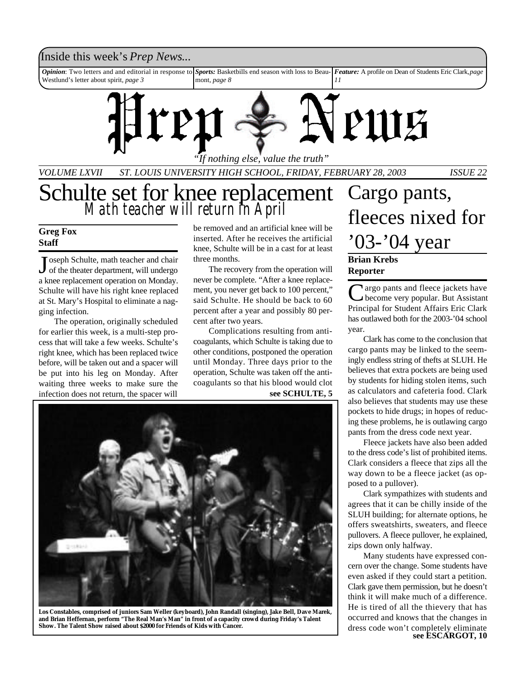#### Inside this week's *Prep News*...

*Opinion*: Two letters and and editorial in response to Westlund's letter about spirit, *page 3 Sports:* Basketbills end season with loss to Beaumont, *page 8 Feature:* A profile on Dean of Students Eric Clark, *page 11*



*VOLUME LXVII ST. LOUIS UNIVERSITY HIGH SCHOOL, FRIDAY, FEBRUARY 28, 2003 ISSUE 22*

# Schulte set for knee replacement *Math teacher will return in April*

#### **Greg Fox Staff**

J oseph Schulte, math teacher and chair<br>of the theater department, will undergo Toseph Schulte, math teacher and chair a knee replacement operation on Monday. Schulte will have his right knee replaced at St. Mary's Hospital to eliminate a nagging infection.

The operation, originally scheduled for earlier this week, is a multi-step process that will take a few weeks. Schulte's right knee, which has been replaced twice before, will be taken out and a spacer will be put into his leg on Monday. After waiting three weeks to make sure the infection does not return, the spacer will

be removed and an artificial knee will be inserted. After he receives the artificial knee, Schulte will be in a cast for at least three months.

The recovery from the operation will never be complete. "After a knee replacement, you never get back to 100 percent," said Schulte. He should be back to 60 percent after a year and possibly 80 percent after two years.

Complications resulting from anticoagulants, which Schulte is taking due to other conditions, postponed the operation until Monday. Three days prior to the operation, Schulte was taken off the anticoagulants so that his blood would clot **see SCHULTE, 5**



**Los Constables, comprised of juniors Sam Weller (keyboard), John Randall (singing), Jake Bell, Dave Marek, and Brian Heffernan, perform "The Real Man's Man" in front of a capacity crowd during Friday's Talent Show. The Talent Show raised about \$2000 for Friends of Kids with Cancer.**

# **Brian Krebs Reporter** Cargo pants, fleeces nixed for '03-'04 year

Cargo pants and fleece jackets have<br>
Principal for Student Affairs Eric Clark **Nargo pants and fleece jackets have** become very popular. But Assistant has outlawed both for the 2003-'04 school year.

Clark has come to the conclusion that cargo pants may be linked to the seemingly endless string of thefts at SLUH. He believes that extra pockets are being used by students for hiding stolen items, such as calculators and cafeteria food. Clark also believes that students may use these pockets to hide drugs; in hopes of reducing these problems, he is outlawing cargo pants from the dress code next year.

Fleece jackets have also been added to the dress code's list of prohibited items. Clark considers a fleece that zips all the way down to be a fleece jacket (as opposed to a pullover).

Clark sympathizes with students and agrees that it can be chilly inside of the SLUH building; for alternate options, he offers sweatshirts, sweaters, and fleece pullovers. A fleece pullover, he explained, zips down only halfway.

Many students have expressed concern over the change. Some students have even asked if they could start a petition. Clark gave them permission, but he doesn't think it will make much of a difference. He is tired of all the thievery that has occurred and knows that the changes in dress code won't completely eliminate **see ESCARGOT, 10**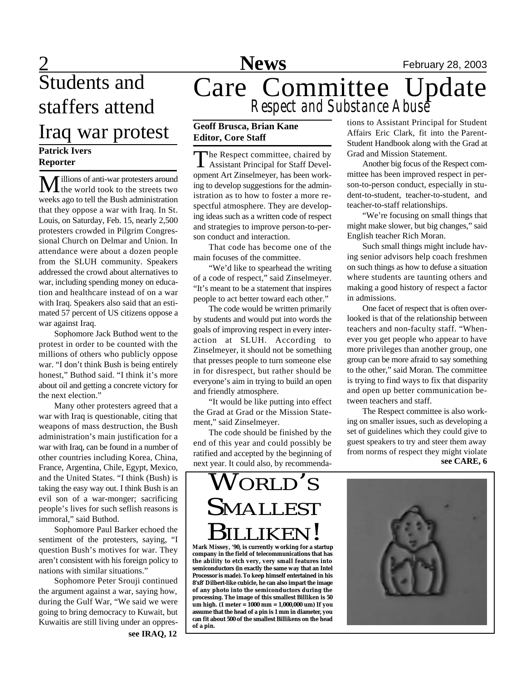# Students and staffers attend Iraq war protest

#### **Patrick Ivers Reporter**

Millions of anti-war protesters around **L** the world took to the streets two weeks ago to tell the Bush administration that they oppose a war with Iraq. In St. Louis, on Saturday, Feb. 15, nearly 2,500 protesters crowded in Pilgrim Congressional Church on Delmar and Union. In attendance were about a dozen people from the SLUH community. Speakers addressed the crowd about alternatives to war, including spending money on education and healthcare instead of on a war with Iraq. Speakers also said that an estimated 57 percent of US citizens oppose a war against Iraq.

Sophomore Jack Buthod went to the protest in order to be counted with the millions of others who publicly oppose war. "I don't think Bush is being entirely honest," Buthod said. "I think it's more about oil and getting a concrete victory for the next election."

Many other protesters agreed that a war with Iraq is questionable, citing that weapons of mass destruction, the Bush administration's main justification for a war with Iraq, can be found in a number of other countries including Korea, China, France, Argentina, Chile, Egypt, Mexico, and the United States. "I think (Bush) is taking the easy way out. I think Bush is an evil son of a war-monger; sacrificing people's lives for such seflish reasons is immoral," said Buthod.

Sophomore Paul Barker echoed the sentiment of the protesters, saying, "I question Bush's motives for war. They aren't consistent with his foreign policy to nations with similar situations."

Sophomore Peter Srouji continued the argument against a war, saying how, during the Gulf War, "We said we were going to bring democracy to Kuwait, but Kuwaitis are still living under an oppres**see IRAQ, 12**

# 2 **News** February 28, 2003 Care Committee Update *Respect and Substance Abuse*

#### **Geoff Brusca, Brian Kane Editor, Core Staff**

The Respect committee, chaired by<br>Assistant Principal for Staff Devel-The Respect committee, chaired by opment Art Zinselmeyer, has been working to develop suggestions for the administration as to how to foster a more respectful atmosphere. They are developing ideas such as a written code of respect and strategies to improve person-to-person conduct and interaction.

That code has become one of the main focuses of the committee.

"We'd like to spearhead the writing of a code of respect," said Zinselmeyer. "It's meant to be a statement that inspires people to act better toward each other."

The code would be written primarily by students and would put into words the goals of improving respect in every interaction at SLUH. According to Zinselmeyer, it should not be something that presses people to turn someone else in for disrespect, but rather should be everyone's aim in trying to build an open and friendly atmosphere.

"It would be like putting into effect the Grad at Grad or the Mission Statement," said Zinselmeyer.

The code should be finished by the end of this year and could possibly be ratified and accepted by the beginning of next year. It could also, by recommendations to Assistant Principal for Student Affairs Eric Clark, fit into the Parent-Student Handbook along with the Grad at Grad and Mission Statement.

Another big focus of the Respect committee has been improved respect in person-to-person conduct, especially in student-to-student, teacher-to-student, and teacher-to-staff relationships.

"We're focusing on small things that might make slower, but big changes," said English teacher Rich Moran.

Such small things might include having senior advisors help coach freshmen on such things as how to defuse a situation where students are taunting others and making a good history of respect a factor in admissions.

One facet of respect that is often overlooked is that of the relationship between teachers and non-faculty staff. "Whenever you get people who appear to have more privileges than another group, one group can be more afraid to say something to the other," said Moran. The committee is trying to find ways to fix that disparity and open up better communication between teachers and staff.

The Respect committee is also working on smaller issues, such as developing a set of guidelines which they could give to guest speakers to try and steer them away from norms of respect they might violate **see CARE, 6**

# WORLD'<sup>S</sup> SMALLEST BILLIKEN!

**Mark Missey, '90, is currently working for a startup company in the field of telecommunications that has the ability to etch very, very small features into semiconductors (in exactly the same way that an Intel Processor is made). To keep himself entertained in his 8'x8' Dilbert-like cubicle, he can also impart the image of any photo into the semiconductors during the processing. The image of this smallest Billiken is 50 um high. (1 meter = 1000 mm = 1,000,000 um) If you assume that the head of a pin is 1 mm in diameter, you can fit about 500 of the smallest Billikens on the head of a pin.**

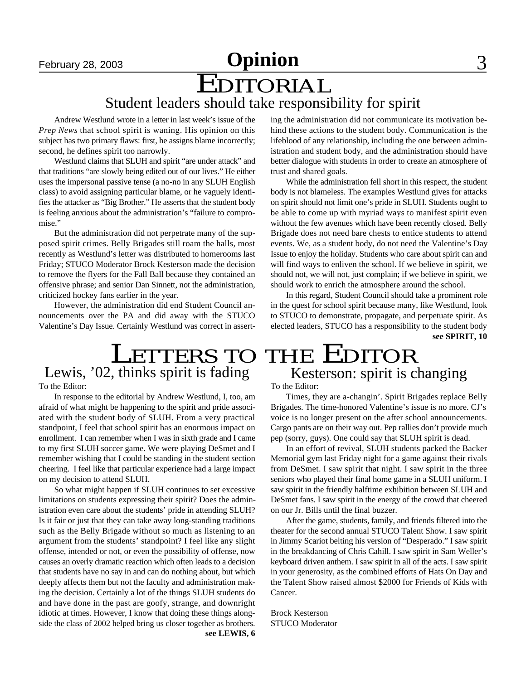# **February 28, 2003 Opinion** 3

# EDITORIAL Student leaders should take responsibility for spirit

Andrew Westlund wrote in a letter in last week's issue of the *Prep News* that school spirit is waning. His opinion on this subject has two primary flaws: first, he assigns blame incorrectly; second, he defines spirit too narrowly.

Westlund claims that SLUH and spirit "are under attack" and that traditions "are slowly being edited out of our lives." He either uses the impersonal passive tense (a no-no in any SLUH English class) to avoid assigning particular blame, or he vaguely identifies the attacker as "Big Brother." He asserts that the student body is feeling anxious about the administration's "failure to compromise."

But the administration did not perpetrate many of the supposed spirit crimes. Belly Brigades still roam the halls, most recently as Westlund's letter was distributed to homerooms last Friday; STUCO Moderator Brock Kesterson made the decision to remove the flyers for the Fall Ball because they contained an offensive phrase; and senior Dan Sinnett, not the administration, criticized hockey fans earlier in the year.

However, the administration did end Student Council announcements over the PA and did away with the STUCO Valentine's Day Issue. Certainly Westlund was correct in asserting the administration did not communicate its motivation behind these actions to the student body. Communication is the lifeblood of any relationship, including the one between administration and student body, and the administration should have better dialogue with students in order to create an atmosphere of trust and shared goals.

While the administration fell short in this respect, the student body is not blameless. The examples Westlund gives for attacks on spirit should not limit one's pride in SLUH. Students ought to be able to come up with myriad ways to manifest spirit even without the few avenues which have been recently closed. Belly Brigade does not need bare chests to entice students to attend events. We, as a student body, do not need the Valentine's Day Issue to enjoy the holiday. Students who care about spirit can and will find ways to enliven the school. If we believe in spirit, we should not, we will not, just complain; if we believe in spirit, we should work to enrich the atmosphere around the school.

**see SPIRIT, 10** In this regard, Student Council should take a prominent role in the quest for school spirit because many, like Westlund, look to STUCO to demonstrate, propagate, and perpetuate spirit. As elected leaders, STUCO has a responsibility to the student body

#### LETTERS TO THE EDITOR Kesterson: spirit is changing Lewis, '02, thinks spirit is fading

To the Editor:

In response to the editorial by Andrew Westlund, I, too, am afraid of what might be happening to the spirit and pride associated with the student body of SLUH. From a very practical standpoint, I feel that school spirit has an enormous impact on enrollment. I can remember when I was in sixth grade and I came to my first SLUH soccer game. We were playing DeSmet and I remember wishing that I could be standing in the student section cheering. I feel like that particular experience had a large impact on my decision to attend SLUH.

So what might happen if SLUH continues to set excessive limitations on students expressing their spirit? Does the administration even care about the students' pride in attending SLUH? Is it fair or just that they can take away long-standing traditions such as the Belly Brigade without so much as listening to an argument from the students' standpoint? I feel like any slight offense, intended or not, or even the possibility of offense, now causes an overly dramatic reaction which often leads to a decision that students have no say in and can do nothing about, but which deeply affects them but not the faculty and administration making the decision. Certainly a lot of the things SLUH students do and have done in the past are goofy, strange, and downright idiotic at times. However, I know that doing these things alongside the class of 2002 helped bring us closer together as brothers.

#### To the Editor:

Times, they are a-changin'. Spirit Brigades replace Belly Brigades. The time-honored Valentine's issue is no more. CJ's voice is no longer present on the after school announcements. Cargo pants are on their way out. Pep rallies don't provide much pep (sorry, guys). One could say that SLUH spirit is dead.

In an effort of revival, SLUH students packed the Backer Memorial gym last Friday night for a game against their rivals from DeSmet. I saw spirit that night. I saw spirit in the three seniors who played their final home game in a SLUH uniform. I saw spirit in the friendly halftime exhibition between SLUH and DeSmet fans. I saw spirit in the energy of the crowd that cheered on our Jr. Bills until the final buzzer.

After the game, students, family, and friends filtered into the theater for the second annual STUCO Talent Show. I saw spirit in Jimmy Scariot belting his version of "Desperado." I saw spirit in the breakdancing of Chris Cahill. I saw spirit in Sam Weller's keyboard driven anthem. I saw spirit in all of the acts. I saw spirit in your generosity, as the combined efforts of Hats On Day and the Talent Show raised almost \$2000 for Friends of Kids with Cancer.

Brock Kesterson STUCO Moderator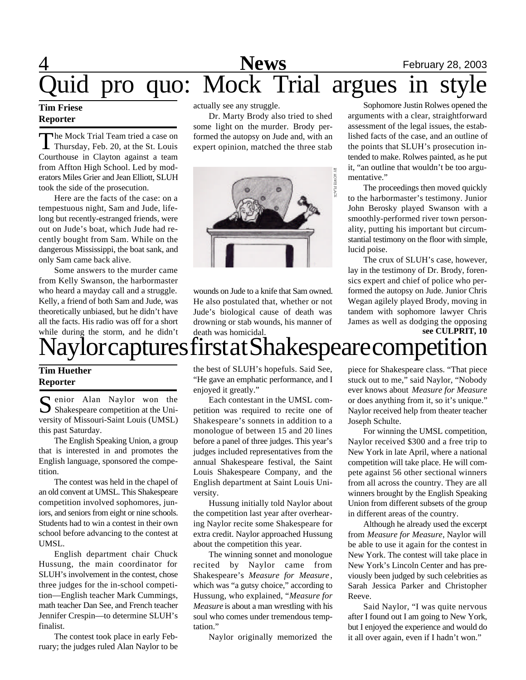# 4 **News** February 28, 2003 Quid pro quo: Mock Trial argues in style

#### **Tim Friese Reporter**

The Mock Trial Team tried a case on<br>Thursday, Feb. 20, at the St. Louis he Mock Trial Team tried a case on Courthouse in Clayton against a team from Affton High School. Led by moderators Miles Grier and Jean Elliott, SLUH took the side of the prosecution.

Here are the facts of the case: on a tempestuous night, Sam and Jude, lifelong but recently-estranged friends, were out on Jude's boat, which Jude had recently bought from Sam. While on the dangerous Mississippi, the boat sank, and only Sam came back alive.

Some answers to the murder came from Kelly Swanson, the harbormaster who heard a mayday call and a struggle. Kelly, a friend of both Sam and Jude, was theoretically unbiased, but he didn't have all the facts. His radio was off for a short while during the storm, and he didn't <sup>d</sup>lor captures first at Shakespeare competions

actually see any struggle.

Dr. Marty Brody also tried to shed some light on the murder. Brody performed the autopsy on Jude and, with an expert opinion, matched the three stab



wounds on Jude to a knife that Sam owned. He also postulated that, whether or not Jude's biological cause of death was drowning or stab wounds, his manner of death was homicidal.

Sophomore Justin Rolwes opened the arguments with a clear, straightforward assessment of the legal issues, the established facts of the case, and an outline of the points that SLUH's prosecution intended to make. Rolwes painted, as he put it, "an outline that wouldn't be too argumentative."

The proceedings then moved quickly to the harbormaster's testimony. Junior John Berosky played Swanson with a smoothly-performed river town personality, putting his important but circumstantial testimony on the floor with simple, lucid poise.

The crux of SLUH's case, however, lay in the testimony of Dr. Brody, forensics expert and chief of police who performed the autopsy on Jude. Junior Chris Wegan agilely played Brody, moving in tandem with sophomore lawyer Chris James as well as dodging the opposing **see CULPRIT, 10**

#### **Tim Huether Reporter**

Secretary Manusdal Naylor won the Uni-<br>Shakespeare competition at the Unienior Alan Naylor won the versity of Missouri-Saint Louis (UMSL) this past Saturday.

The English Speaking Union, a group that is interested in and promotes the English language, sponsored the competition.

The contest was held in the chapel of an old convent at UMSL. This Shakespeare competition involved sophomores, juniors, and seniors from eight or nine schools. Students had to win a contest in their own school before advancing to the contest at UMSL.

English department chair Chuck Hussung, the main coordinator for SLUH's involvement in the contest, chose three judges for the in-school competition—English teacher Mark Cummings, math teacher Dan See, and French teacher Jennifer Crespin—to determine SLUH's finalist.

The contest took place in early February; the judges ruled Alan Naylor to be the best of SLUH's hopefuls. Said See, "He gave an emphatic performance, and I enjoyed it greatly."

Each contestant in the UMSL competition was required to recite one of Shakespeare's sonnets in addition to a monologue of between 15 and 20 lines before a panel of three judges. This year's judges included representatives from the annual Shakespeare festival, the Saint Louis Shakespeare Company, and the English department at Saint Louis University.

Hussung initially told Naylor about the competition last year after overhearing Naylor recite some Shakespeare for extra credit. Naylor approached Hussung about the competition this year.

The winning sonnet and monologue recited by Naylor came from Shakespeare's *Measure for Measure* , which was "a gutsy choice," according to Hussung, who explained, "*Measure for Measure* is about a man wrestling with his soul who comes under tremendous temptation."

Naylor originally memorized the

piece for Shakespeare class. "That piece stuck out to me," said Naylor, "Nobody ever knows about *Measure for Measure* or does anything from it, so it's unique." Naylor received help from theater teacher Joseph Schulte.

For winning the UMSL competition, Naylor received \$300 and a free trip to New York in late April, where a national competition will take place. He will compete against 56 other sectional winners from all across the country. They are all winners brought by the English Speaking Union from different subsets of the group in different areas of the country.

Although he already used the excerpt from *Measure for Measure*, Naylor will be able to use it again for the contest in New York. The contest will take place in New York's Lincoln Center and has previously been judged by such celebrities as Sarah Jessica Parker and Christopher Reeve.

Said Naylor, "I was quite nervous after I found out I am going to New York, but I enjoyed the experience and would do it all over again, even if I hadn't won."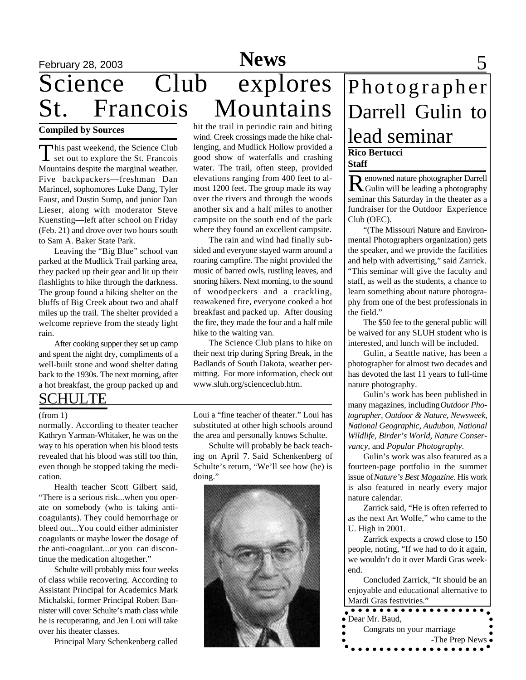# February 28, 2003 **News** 5 Science Club explores<br>St. Francois Mountains St. Francois Mountains

#### **Compiled by Sources**

This past weekend, the Science Club<br>set out to explore the St. Francois **This past weekend, the Science Club** Mountains despite the marginal weather. Five backpackers—freshman Dan Marincel, sophomores Luke Dang, Tyler Faust, and Dustin Sump, and junior Dan Lieser, along with moderator Steve Kuensting—left after school on Friday (Feb. 21) and drove over two hours south to Sam A. Baker State Park.

Leaving the "Big Blue" school van parked at the Mudlick Trail parking area, they packed up their gear and lit up their flashlights to hike through the darkness. The group found a hiking shelter on the bluffs of Big Creek about two and ahalf miles up the trail. The shelter provided a welcome reprieve from the steady light rain.

After cooking supper they set up camp and spent the night dry, compliments of a well-built stone and wood shelter dating back to the 1930s. The next morning, after a hot breakfast, the group packed up and

### SCHULTE

normally. According to theater teacher Kathryn Yarman-Whitaker, he was on the way to his operation when his blood tests revealed that his blood was still too thin, even though he stopped taking the medication.

Health teacher Scott Gilbert said, "There is a serious risk...when you operate on somebody (who is taking anticoagulants). They could hemorrhage or bleed out...You could either administer coagulants or maybe lower the dosage of the anti-coagulant...or you can discontinue the medication altogether."

Schulte will probably miss four weeks of class while recovering. According to Assistant Principal for Academics Mark Michalski, former Principal Robert Bannister will cover Schulte's math class while he is recuperating, and Jen Loui will take over his theater classes.

Principal Mary Schenkenberg called

hit the trail in periodic rain and biting wind. Creek crossings made the hike challenging, and Mudlick Hollow provided a good show of waterfalls and crashing water. The trail, often steep, provided elevations ranging from 400 feet to almost 1200 feet. The group made its way over the rivers and through the woods another six and a half miles to another campsite on the south end of the park where they found an excellent campsite.

The rain and wind had finally subsided and everyone stayed warm around a roaring campfire. The night provided the music of barred owls, rustling leaves, and snoring hikers. Next morning, to the sound of woodpeckers and a crackling, reawakened fire, everyone cooked a hot breakfast and packed up. After dousing the fire, they made the four and a half mile hike to the waiting van.

The Science Club plans to hike on their next trip during Spring Break, in the Badlands of South Dakota, weather permitting. For more information, check out www.sluh.org/scienceclub.htm.

(from 1) Loui a "fine teacher of theater." Loui has substituted at other high schools around the area and personally knows Schulte.

> Schulte will probably be back teaching on April 7. Said Schenkenberg of Schulte's return, "We'll see how (he) is doing."



# **Rico Bertucci** Photographer Darrell Gulin to lead seminar

**Staff**

R enowned nature photographer Darrell Gulin will be leading a photography seminar this Saturday in the theater as a fundraiser for the Outdoor Experience Club (OEC).

"(The Missouri Nature and Environmental Photographers organization) gets the speaker, and we provide the facilities and help with advertising," said Zarrick. "This seminar will give the faculty and staff, as well as the students, a chance to learn something about nature photography from one of the best professionals in the field."

The \$50 fee to the general public will be waived for any SLUH student who is interested, and lunch will be included.

Gulin, a Seattle native, has been a photographer for almost two decades and has devoted the last 11 years to full-time nature photography.

Gulin's work has been published in many magazines, including *Outdoor Photographer, Outdoor & Nature, Newsweek, National Geographic, Audubon, National Wildlife, Birder's World, Nature Conservancy,* and *Popular Photography*.

Gulin's work was also featured as a fourteen-page portfolio in the summer issue of *Nature's Best Magazine*. His work is also featured in nearly every major nature calendar.

Zarrick said, "He is often referred to as the next Art Wolfe," who came to the U. High in 2001.

Zarrick expects a crowd close to 150 people, noting, "If we had to do it again, we wouldn't do it over Mardi Gras weekend.

Concluded Zarrick, "It should be an enjoyable and educational alternative to

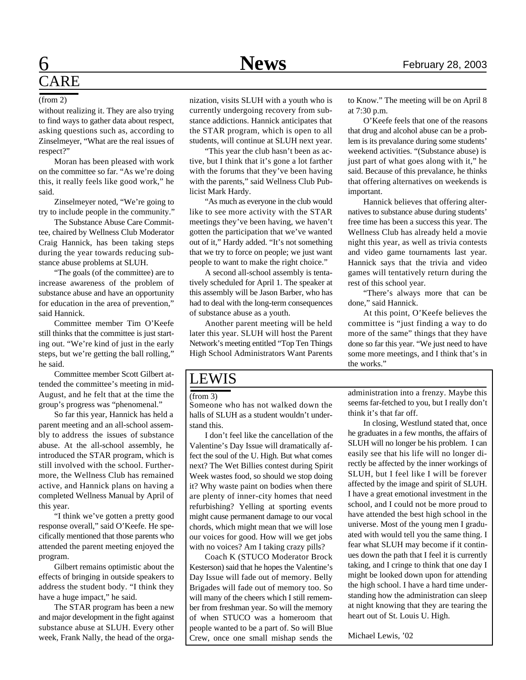# CARE

without realizing it. They are also trying to find ways to gather data about respect, asking questions such as, according to Zinselmeyer, "What are the real issues of respect?"

Moran has been pleased with work on the committee so far. "As we're doing this, it really feels like good work," he said.

Zinselmeyer noted, "We're going to try to include people in the community."

The Substance Abuse Care Committee, chaired by Wellness Club Moderator Craig Hannick, has been taking steps during the year towards reducing substance abuse problems at SLUH.

"The goals (of the committee) are to increase awareness of the problem of substance abuse and have an opportunity for education in the area of prevention," said Hannick.

Committee member Tim O'Keefe still thinks that the committee is just starting out. "We're kind of just in the early steps, but we're getting the ball rolling," he said.

Committee member Scott Gilbert attended the committee's meeting in mid-August, and he felt that at the time the group's progress was "phenomenal."

So far this year, Hannick has held a parent meeting and an all-school assembly to address the issues of substance abuse. At the all-school assembly, he introduced the STAR program, which is still involved with the school. Furthermore, the Wellness Club has remained active, and Hannick plans on having a completed Wellness Manual by April of this year.

"I think we've gotten a pretty good response overall," said O'Keefe. He specifically mentioned that those parents who attended the parent meeting enjoyed the program.

Gilbert remains optimistic about the effects of bringing in outside speakers to address the student body. "I think they have a huge impact," he said.

The STAR program has been a new and major development in the fight against substance abuse at SLUH. Every other week, Frank Nally, the head of the orga-

(from 2) nization, visits SLUH with a youth who is currently undergoing recovery from substance addictions. Hannick anticipates that the STAR program, which is open to all students, will continue at SLUH next year.

> "This year the club hasn't been as active, but I think that it's gone a lot farther with the forums that they've been having with the parents," said Wellness Club Publicist Mark Hardy.

> "As much as everyone in the club would like to see more activity with the STAR meetings they've been having, we haven't gotten the participation that we've wanted out of it," Hardy added. "It's not something that we try to force on people; we just want people to want to make the right choice."

> A second all-school assembly is tentatively scheduled for April 1. The speaker at this assembly will be Jason Barber, who has had to deal with the long-term consequences of substance abuse as a youth.

> Another parent meeting will be held later this year. SLUH will host the Parent Network's meeting entitled "Top Ten Things High School Administrators Want Parents

#### LEWIS

#### $(from 3)$

Someone who has not walked down the halls of SLUH as a student wouldn't understand this.

I don't feel like the cancellation of the Valentine's Day Issue will dramatically affect the soul of the U. High. But what comes next? The Wet Billies contest during Spirit Week wastes food, so should we stop doing it? Why waste paint on bodies when there are plenty of inner-city homes that need refurbishing? Yelling at sporting events might cause permanent damage to our vocal chords, which might mean that we will lose our voices for good. How will we get jobs with no voices? Am I taking crazy pills?

Coach K (STUCO Moderator Brock Kesterson) said that he hopes the Valentine's Day Issue will fade out of memory. Belly Brigades will fade out of memory too. So will many of the cheers which I still remember from freshman year. So will the memory of when STUCO was a homeroom that people wanted to be a part of. So will Blue Crew, once one small mishap sends the

to Know." The meeting will be on April 8 at 7:30 p.m.

O'Keefe feels that one of the reasons that drug and alcohol abuse can be a problem is its prevalance during some students' weekend activities. "(Substance abuse) is just part of what goes along with it," he said. Because of this prevalance, he thinks that offering alternatives on weekends is important.

Hannick believes that offering alternatives to substance abuse during students' free time has been a success this year. The Wellness Club has already held a movie night this year, as well as trivia contests and video game tournaments last year. Hannick says that the trivia and video games will tentatively return during the rest of this school year.

"There's always more that can be done," said Hannick.

At this point, O'Keefe believes the committee is "just finding a way to do more of the same" things that they have done so far this year. "We just need to have some more meetings, and I think that's in the works."

administration into a frenzy. Maybe this seems far-fetched to you, but I really don't think it's that far off.

In closing, Westlund stated that, once he graduates in a few months, the affairs of SLUH will no longer be his problem. I can easily see that his life will no longer directly be affected by the inner workings of SLUH, but I feel like I will be forever affected by the image and spirit of SLUH. I have a great emotional investment in the school, and I could not be more proud to have attended the best high school in the universe. Most of the young men I graduated with would tell you the same thing. I fear what SLUH may become if it continues down the path that I feel it is currently taking, and I cringe to think that one day I might be looked down upon for attending the high school. I have a hard time understanding how the administration can sleep at night knowing that they are tearing the heart out of St. Louis U. High.

Michael Lewis, '02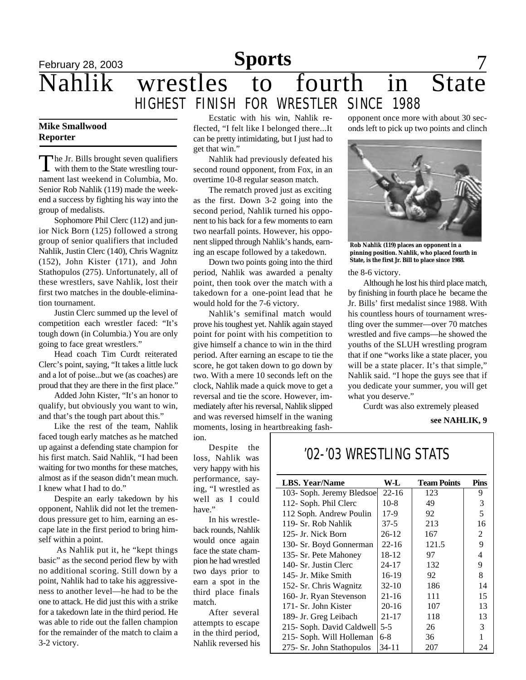February 28, 2003 **Sports** 7

# Nahlik wrestles to fourth in State

#### **Mike Smallwood Reporter**

The Jr. Bills brought seven qualifiers<br>with them to the State wrestling tour-The Jr. Bills brought seven qualifiers nament last weekend in Columbia, Mo. Senior Rob Nahlik (119) made the weekend a success by fighting his way into the group of medalists.

Sophomore Phil Clerc (112) and junior Nick Born (125) followed a strong group of senior qualifiers that included Nahlik, Justin Clerc (140), Chris Wagnitz (152), John Kister (171), and John Stathopulos (275). Unfortunately, all of these wrestlers, save Nahlik, lost their first two matches in the double-elimination tournament.

Justin Clerc summed up the level of competition each wrestler faced: "It's tough down (in Columbia.) You are only going to face great wrestlers."

Head coach Tim Curdt reiterated Clerc's point, saying, "It takes a little luck and a lot of poise...but we (as coaches) are proud that they are there in the first place."

Added John Kister, "It's an honor to qualify, but obviously you want to win, and that's the tough part about this."

Like the rest of the team, Nahlik faced tough early matches as he matched up against a defending state champion for his first match. Said Nahlik, "I had been waiting for two months for these matches, almost as if the season didn't mean much. I knew what I had to do."

Despite an early takedown by his opponent, Nahlik did not let the tremendous pressure get to him, earning an escape late in the first period to bring himself within a point.

 As Nahlik put it, he "kept things basic" as the second period flew by with no additional scoring. Still down by a point, Nahlik had to take his aggressiveness to another level—he had to be the one to attack. He did just this with a strike for a takedown late in the third period. He was able to ride out the fallen champion for the remainder of the match to claim a 3-2 victory.

Ecstatic with his win, Nahlik reflected, "I felt like I belonged there...It can be pretty intimidating, but I just had to get that win."

**Sports**

HIGHEST FINISH FOR WRESTLER SINCE 1988

Nahlik had previously defeated his second round opponent, from Fox, in an overtime 10-8 regular season match.

The rematch proved just as exciting as the first. Down 3-2 going into the second period, Nahlik turned his opponent to his back for a few moments to earn two nearfall points. However, his opponent slipped through Nahlik's hands, earning an escape followed by a takedown.

Down two points going into the third period, Nahlik was awarded a penalty point, then took over the match with a takedown for a one-point lead that he would hold for the 7-6 victory.

Nahlik's semifinal match would prove his toughest yet. Nahlik again stayed point for point with his competition to give himself a chance to win in the third period. After earning an escape to tie the score, he got taken down to go down by two. With a mere 10 seconds left on the clock, Nahlik made a quick move to get a reversal and tie the score. However, immediately after his reversal, Nahlik slipped and was reversed himself in the waning moments, losing in heartbreaking fash-

ion.

Despite the loss, Nahlik was very happy with his performance, saying, "I wrestled as well as I could have."

In his wrestleback rounds, Nahlik would once again face the state champion he had wrestled two days prior to earn a spot in the third place finals match.

After several attempts to escape in the third period, Nahlik reversed his

#### opponent once more with about 30 seconds left to pick up two points and clinch



**Rob Nahlik (119) places an opponent in a pinning position. Nahlik, who placed fourth in State, is the first Jr. Bill to place since 1988.**

the 8-6 victory.

Although he lost his third place match, by finishing in fourth place he became the Jr. Bills' first medalist since 1988. With his countless hours of tournament wrestling over the summer—over 70 matches wrestled and five camps—he showed the youths of the SLUH wrestling program that if one "works like a state placer, you will be a state placer. It's that simple," Nahlik said. "I hope the guys see that if you dedicate your summer, you will get what you deserve."

Curdt was also extremely pleased

**see NAHLIK, 9**

## '02-'03 WRESTLING STATS

| <b>LBS. Year/Name</b>     | W-L       | <b>Team Points</b> | Pins |
|---------------------------|-----------|--------------------|------|
| 103- Soph. Jeremy Bledsoe | $22 - 16$ | 123                | 9    |
| 112- Soph. Phil Clerc     | $10-8$    | 49                 | 3    |
| 112 Soph. Andrew Poulin   | $17-9$    | 92                 | 5    |
| 119- Sr. Rob Nahlik       | $37-5$    | 213                | 16   |
| 125- Jr. Nick Born        | $26-12$   | 167                | 2    |
| 130- Sr. Boyd Gonnerman   | $22 - 16$ | 121.5              | 9    |
| 135- Sr. Pete Mahoney     | 18-12     | 97                 | 4    |
| 140- Sr. Justin Clerc     | 24-17     | 132                | 9    |
| 145- Jr. Mike Smith       | 16-19     | 92                 | 8    |
| 152- Sr. Chris Wagnitz    | $32-10$   | 186                | 14   |
| 160- Jr. Ryan Stevenson   | $21 - 16$ | 111                | 15   |
| 171- Sr. John Kister      | $20 - 16$ | 107                | 13   |
| 189- Jr. Greg Leibach     | $21 - 17$ | 118                | 13   |
| 215- Soph. David Caldwell | $5 - 5$   | 26                 | 3    |
| 215- Soph. Will Holleman  | $6-8$     | 36                 |      |
| 275- Sr. John Stathopulos | 34-11     | 207                | 24   |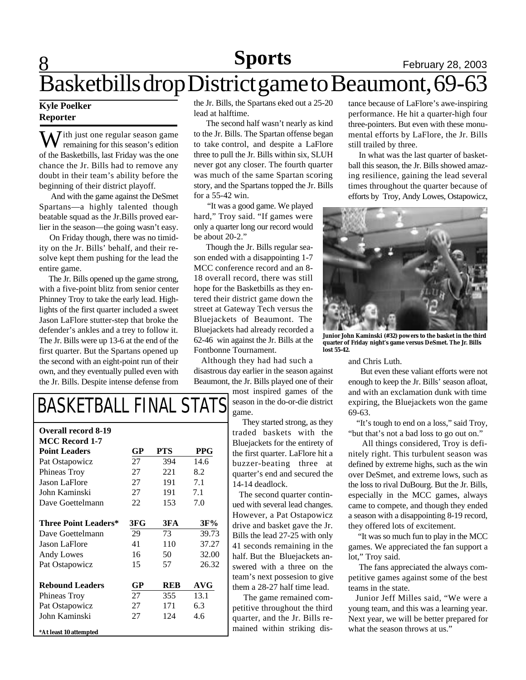#### **8 News Sports** February 28, 2003 **Sports**

# Basketbills drop District game to Beaumont, 69-63

#### **Kyle Poelker Reporter**

 $\overline{I}$  ith just one regular season game remaining for this season's edition of the Basketbills, last Friday was the one chance the Jr. Bills had to remove any doubt in their team's ability before the beginning of their district playoff.

 And with the game against the DeSmet Spartans—a highly talented though beatable squad as the Jr.Bills proved earlier in the season—the going wasn't easy.

 On Friday though, there was no timidity on the Jr. Bills' behalf, and their resolve kept them pushing for the lead the entire game.

 The Jr. Bills opened up the game strong, with a five-point blitz from senior center Phinney Troy to take the early lead. Highlights of the first quarter included a sweet Jason LaFlore stutter-step that broke the defender's ankles and a trey to follow it. The Jr. Bills were up 13-6 at the end of the first quarter. But the Spartans opened up the second with an eight-point run of their own, and they eventually pulled even with the Jr. Bills. Despite intense defense from

the Jr. Bills, the Spartans eked out a 25-20 lead at halftime.

 The second half wasn't nearly as kind to the Jr. Bills. The Spartan offense began to take control, and despite a LaFlore three to pull the Jr. Bills within six, SLUH never got any closer. The fourth quarter was much of the same Spartan scoring story, and the Spartans topped the Jr. Bills for a 55-42 win.

 "It was a good game. We played hard," Troy said. "If games were only a quarter long our record would be about 20-2."

 Though the Jr. Bills regular season ended with a disappointing 1-7 MCC conference record and an 8- 18 overall record, there was still hope for the Basketbills as they entered their district game down the street at Gateway Tech versus the Bluejackets of Beaumont. The Bluejackets had already recorded a 62-46 win against the Jr. Bills at the Fontbonne Tournament.

 Although they had had such a disastrous day earlier in the season against Beaumont, the Jr. Bills played one of their

> most inspired games of the season in the do-or-die district game.

 They started strong, as they traded baskets with the Bluejackets for the entirety of the first quarter. LaFlore hit a buzzer-beating three at quarter's end and secured the 14-14 deadlock.

 The second quarter continued with several lead changes. However, a Pat Ostapowicz drive and basket gave the Jr. Bills the lead 27-25 with only 41 seconds remaining in the half. But the Bluejackets answered with a three on the team's next possesion to give them a 28-27 half time lead.

 The game remained competitive throughout the third quarter, and the Jr. Bills remained within striking distance because of LaFlore's awe-inspiring performance. He hit a quarter-high four three-pointers. But even with these monumental efforts by LaFlore, the Jr. Bills still trailed by three.

 In what was the last quarter of basketball this season, the Jr. Bills showed amazing resilience, gaining the lead several times throughout the quarter because of efforts by Troy, Andy Lowes, Ostapowicz,



**Junior John Kaminski (#32) powers to the basket in the third quarter of Friday night's game versus DeSmet. The Jr. Bills lost 55-42.**

and Chris Luth.

 But even these valiant efforts were not enough to keep the Jr. Bills' season afloat, and with an exclamation dunk with time expiring, the Bluejackets won the game 69-63.

 "It's tough to end on a loss," said Troy, "but that's not a bad loss to go out on."

 All things considered, Troy is definitely right. This turbulent season was defined by extreme highs, such as the win over DeSmet, and extreme lows, such as the loss to rival DuBourg. But the Jr. Bills, especially in the MCC games, always came to compete, and though they ended a season with a disappointing 8-19 record, they offered lots of excitement.

 "It was so much fun to play in the MCC games. We appreciated the fan support a lot," Troy said.

 The fans appreciated the always competitive games against some of the best teams in the state.

 Junior Jeff Milles said, "We were a young team, and this was a learning year. Next year, we will be better prepared for what the season throws at us."

# BASKETBALL FINAL STATS

| <b>Overall record 8-19</b>  |     |            |            |
|-----------------------------|-----|------------|------------|
| <b>MCC Record 1-7</b>       |     |            |            |
| <b>Point Leaders</b>        | GP  | <b>PTS</b> | <b>PPG</b> |
| Pat Ostapowicz              | 27  | 394        | 14.6       |
| Phineas Troy                | 27  | 221        | 8.2        |
| <b>Jason LaFlore</b>        | 27  | 191        | 7.1        |
| John Kaminski               | 27  | 191        | 7.1        |
| Dave Goettelmann            | 22  | 153        | 7.0        |
| <b>Three Point Leaders*</b> | 3FG | 3FA        | 3F%        |
|                             |     |            |            |
| Dave Goettelmann            | 29  | 73         | 39.73      |
| Jason LaFlore               | 41  | 110        | 37.27      |
| Andy Lowes                  | 16  | 50         | 32.00      |
| Pat Ostapowicz              | 15  | 57         | 26.32      |
| <b>Rebound Leaders</b>      | GP  | <b>REB</b> | AVG        |
| Phineas Troy                | 27  | 355        | 13.1       |
| Pat Ostapowicz              | 27  | 171        | 6.3        |
| John Kaminski               | 27  | 124        | 4.6        |
| *At least 10 attempted      |     |            |            |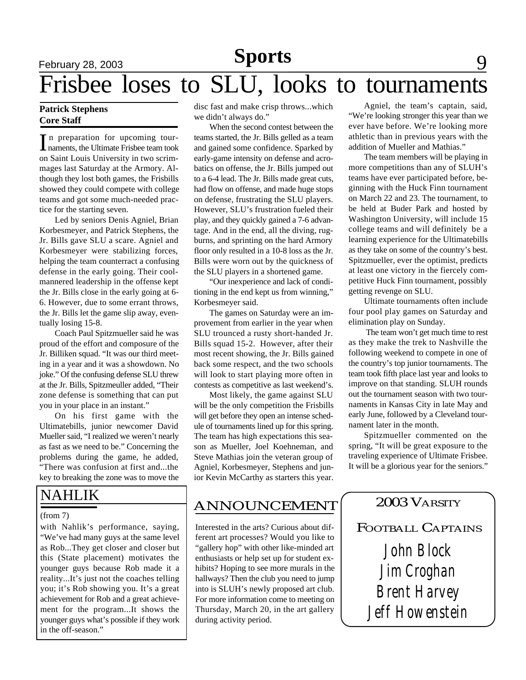## February 28, 2003 **News** 19 **News** 19 **9** Frisbee loses to SLU, looks to tournaments **Sports**

#### **Patrick Stephens Core Staff**

In preparation for upcoming tour-<br>
naments, the Ultimate Frisbee team took n preparation for upcoming touron Saint Louis University in two scrimmages last Saturday at the Armory. Although they lost both games, the Frisbills showed they could compete with college teams and got some much-needed practice for the starting seven.

Led by seniors Denis Agniel, Brian Korbesmeyer, and Patrick Stephens, the Jr. Bills gave SLU a scare. Agniel and Korbesmeyer were stabilizing forces, helping the team counterract a confusing defense in the early going. Their coolmannered leadership in the offense kept the Jr. Bills close in the early going at 6- 6. However, due to some errant throws, the Jr. Bills let the game slip away, eventually losing 15-8.

Coach Paul Spitzmueller said he was proud of the effort and composure of the Jr. Billiken squad. "It was our third meeting in a year and it was a showdown. No joke." Of the confusing defense SLU threw at the Jr. Bills, Spitzmeuller added, "Their zone defense is something that can put you in your place in an instant."

On his first game with the Ultimatebills, junior newcomer David Mueller said, "I realized we weren't nearly as fast as we need to be." Concerning the problems during the game, he added, "There was confusion at first and...the key to breaking the zone was to move the

## NAHLIK

#### (from 7)

with Nahlik's performance, saying, "We've had many guys at the same level as Rob...They get closer and closer but this (State placement) motivates the younger guys because Rob made it a reality...It's just not the coaches telling you; it's Rob showing you. It's a great achievement for Rob and a great achievement for the program...It shows the younger guys what's possible if they work in the off-season."

disc fast and make crisp throws...which we didn't always do."

When the second contest between the teams started, the Jr. Bills gelled as a team and gained some confidence. Sparked by early-game intensity on defense and acrobatics on offense, the Jr. Bills jumped out to a 6-4 lead. The Jr. Bills made great cuts, had flow on offense, and made huge stops on defense, frustrating the SLU players. However, SLU's frustration fueled their play, and they quickly gained a 7-6 advantage. And in the end, all the diving, rugburns, and sprinting on the hard Armory floor only resulted in a 10-8 loss as the Jr. Bills were worn out by the quickness of the SLU players in a shortened game.

"Our inexperience and lack of conditioning in the end kept us from winning," Korbesmeyer said.

The games on Saturday were an improvement from earlier in the year when SLU trounced a rusty short-handed Jr. Bills squad 15-2. However, after their most recent showing, the Jr. Bills gained back some respect, and the two schools will look to start playing more often in contests as competitive as last weekend's.

Most likely, the game against SLU will be the only competition the Frisbills will get before they open an intense schedule of tournaments lined up for this spring. The team has high expectations this season as Mueller, Joel Koehneman, and Steve Mathias join the veteran group of Agniel, Korbesmeyer, Stephens and junior Kevin McCarthy as starters this year.

### ANNOUNCEMENT

Interested in the arts? Curious about different art processes? Would you like to "gallery hop" with other like-minded art enthusiasts or help set up for student exhibits? Hoping to see more murals in the hallways? Then the club you need to jump into is SLUH's newly proposed art club. For more information come to meeting on Thursday, March 20, in the art gallery during activity period.

Agniel, the team's captain, said, "We're looking stronger this year than we ever have before. We're looking more athletic than in previous years with the addition of Mueller and Mathias."

The team members will be playing in more competitions than any of SLUH's teams have ever participated before, beginning with the Huck Finn tournament on March 22 and 23. The tournament, to be held at Buder Park and hosted by Washington University, will include 15 college teams and will definitely be a learning experience for the Ultimatebills as they take on some of the country's best. Spitzmueller, ever the optimist, predicts at least one victory in the fiercely competitive Huck Finn tournament, possibly getting revenge on SLU.

Ultimate tournaments often include four pool play games on Saturday and elimination play on Sunday.

 The team won't get much time to rest as they make the trek to Nashville the following weekend to compete in one of the country's top junior tournaments. The team took fifth place last year and looks to improve on that standing. SLUH rounds out the tournament season with two tournaments in Kansas City in late May and early June, followed by a Cleveland tournament later in the month.

Spitzmueller commented on the spring, "It will be great exposure to the traveling experience of Ultimate Frisbee. It will be a glorious year for the seniors."

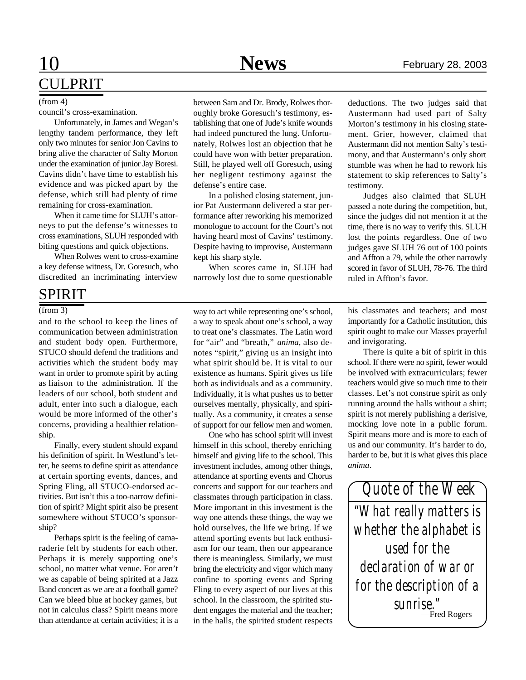# 10 **News** February 28, 2003 CULPRIT

council's cross-examination.

Unfortunately, in James and Wegan's lengthy tandem performance, they left only two minutes for senior Jon Cavins to bring alive the character of Salty Morton under the examination of junior Jay Boresi. Cavins didn't have time to establish his evidence and was picked apart by the defense, which still had plenty of time remaining for cross-examination.

When it came time for SLUH's attorneys to put the defense's witnesses to cross examinations, SLUH responded with biting questions and quick objections.

When Rolwes went to cross-examine a key defense witness, Dr. Goresuch, who discredited an incriminating interview

### SPIRIT

and to the school to keep the lines of communication between administration and student body open. Furthermore, STUCO should defend the traditions and activities which the student body may want in order to promote spirit by acting as liaison to the administration. If the leaders of our school, both student and adult, enter into such a dialogue, each would be more informed of the other's concerns, providing a healthier relationship.

Finally, every student should expand his definition of spirit. In Westlund's letter, he seems to define spirit as attendance at certain sporting events, dances, and Spring Fling, all STUCO-endorsed activities. But isn't this a too-narrow definition of spirit? Might spirit also be present somewhere without STUCO's sponsorship?

Perhaps spirit is the feeling of camaraderie felt by students for each other. Perhaps it is merely supporting one's school, no matter what venue. For aren't we as capable of being spirited at a Jazz Band concert as we are at a football game? Can we bleed blue at hockey games, but not in calculus class? Spirit means more than attendance at certain activities; it is a

(from 4) between Sam and Dr. Brody, Rolwes thor- deductions. The two judges said that oughly broke Goresuch's testimony, establishing that one of Jude's knife wounds had indeed punctured the lung. Unfortunately, Rolwes lost an objection that he could have won with better preparation. Still, he played well off Goresuch, using her negligent testimony against the defense's entire case.

> In a polished closing statement, junior Pat Austermann delivered a star performance after reworking his memorized monologue to account for the Court's not having heard most of Cavins' testimony. Despite having to improvise, Austermann kept his sharp style.

> When scores came in, SLUH had narrowly lost due to some questionable

(from 3) way to act while representing one's school, a way to speak about one's school, a way to treat one's classmates. The Latin word for "air" and "breath," *anima,* also denotes "spirit," giving us an insight into what spirit should be. It is vital to our existence as humans. Spirit gives us life both as individuals and as a community. Individually, it is what pushes us to better ourselves mentally, physically, and spiritually. As a community, it creates a sense of support for our fellow men and women.

> One who has school spirit will invest himself in this school, thereby enriching himself and giving life to the school. This investment includes, among other things, attendance at sporting events and Chorus concerts and support for our teachers and classmates through participation in class. More important in this investment is the way one attends these things, the way we hold ourselves, the life we bring. If we attend sporting events but lack enthusiasm for our team, then our appearance there is meaningless. Similarly, we must bring the electricity and vigor which many confine to sporting events and Spring Fling to every aspect of our lives at this school. In the classroom, the spirited student engages the material and the teacher; in the halls, the spirited student respects

Austermann had used part of Salty Morton's testimony in his closing statement. Grier, however, claimed that Austermann did not mention Salty's testimony, and that Austermann's only short stumble was when he had to rework his statement to skip references to Salty's testimony.

Judges also claimed that SLUH passed a note during the competition, but, since the judges did not mention it at the time, there is no way to verify this. SLUH lost the points regardless. One of two judges gave SLUH 76 out of 100 points and Affton a 79, while the other narrowly scored in favor of SLUH, 78-76. The third ruled in Affton's favor.

his classmates and teachers; and most importantly for a Catholic institution, this spirit ought to make our Masses prayerful and invigorating.

There is quite a bit of spirit in this school. If there were no spirit, fewer would be involved with extracurriculars; fewer teachers would give so much time to their classes. Let's not construe spirit as only running around the halls without a shirt; spirit is not merely publishing a derisive, mocking love note in a public forum. Spirit means more and is more to each of us and our community. It's harder to do, harder to be, but it is what gives this place *anima*.

*"What really matters is whether the alphabet is used for the declaration of war or for the description of a sunrise." Quote of the Week* —Fred Rogers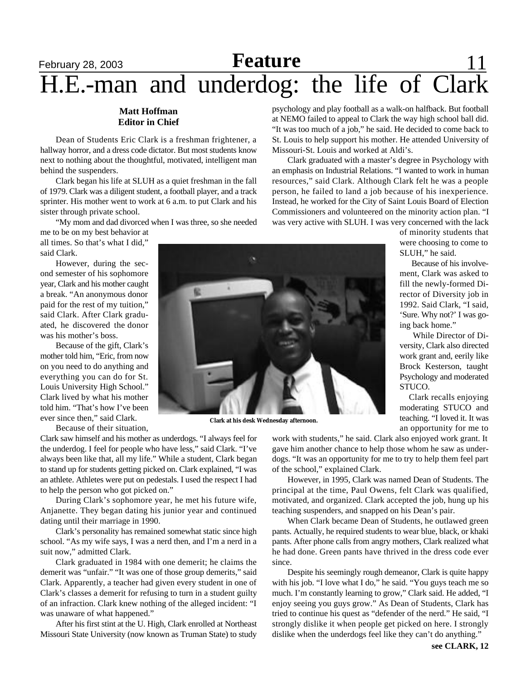## February 28, 2003 **Reature** 11 **Feature** H.E.-man and underdog: the life of Clark

#### **Matt Hoffman Editor in Chief**

Dean of Students Eric Clark is a freshman frightener, a hallway horror, and a dress code dictator. But most students know next to nothing about the thoughtful, motivated, intelligent man behind the suspenders.

Clark began his life at SLUH as a quiet freshman in the fall of 1979. Clark was a diligent student, a football player, and a track sprinter. His mother went to work at 6 a.m. to put Clark and his sister through private school.

"My mom and dad divorced when I was three, so she needed

me to be on my best behavior at all times. So that's what I did," said Clark.

However, during the second semester of his sophomore year, Clark and his mother caught a break. "An anonymous donor paid for the rest of my tuition," said Clark. After Clark graduated, he discovered the donor was his mother's boss.

Because of the gift, Clark's mother told him, "Eric, from now on you need to do anything and everything you can do for St. Louis University High School." Clark lived by what his mother told him. "That's how I've been ever since then," said Clark.

Because of their situation,

Clark saw himself and his mother as underdogs. "I always feel for the underdog. I feel for people who have less," said Clark. "I've always been like that, all my life." While a student, Clark began to stand up for students getting picked on. Clark explained, "I was an athlete. Athletes were put on pedestals. I used the respect I had to help the person who got picked on."

During Clark's sophomore year, he met his future wife, Anjanette. They began dating his junior year and continued dating until their marriage in 1990.

Clark's personality has remained somewhat static since high school. "As my wife says, I was a nerd then, and I'm a nerd in a suit now," admitted Clark.

Clark graduated in 1984 with one demerit; he claims the demerit was "unfair." "It was one of those group demerits," said Clark. Apparently, a teacher had given every student in one of Clark's classes a demerit for refusing to turn in a student guilty of an infraction. Clark knew nothing of the alleged incident: "I was unaware of what happened."

After his first stint at the U. High, Clark enrolled at Northeast Missouri State University (now known as Truman State) to study psychology and play football as a walk-on halfback. But football at NEMO failed to appeal to Clark the way high school ball did. "It was too much of a job," he said. He decided to come back to St. Louis to help support his mother. He attended University of Missouri-St. Louis and worked at Aldi's.

Clark graduated with a master's degree in Psychology with an emphasis on Industrial Relations. "I wanted to work in human resources," said Clark. Although Clark felt he was a people person, he failed to land a job because of his inexperience. Instead, he worked for the City of Saint Louis Board of Election Commissioners and volunteered on the minority action plan. "I was very active with SLUH. I was very concerned with the lack

> of minority students that were choosing to come to SLUH," he said.

> Because of his involvement, Clark was asked to fill the newly-formed Director of Diversity job in 1992. Said Clark, "I said, 'Sure. Why not?' I was going back home."

> While Director of Diversity, Clark also directed work grant and, eerily like Brock Kesterson, taught Psychology and moderated STUCO.

> Clark recalls enjoying moderating STUCO and teaching. "I loved it. It was an opportunity for me to



**Clark at his desk Wednesday afternoon.**

work with students," he said. Clark also enjoyed work grant. It gave him another chance to help those whom he saw as underdogs. "It was an opportunity for me to try to help them feel part of the school," explained Clark.

However, in 1995, Clark was named Dean of Students. The principal at the time, Paul Owens, felt Clark was qualified, motivated, and organized. Clark accepted the job, hung up his teaching suspenders, and snapped on his Dean's pair.

When Clark became Dean of Students, he outlawed green pants. Actually, he required students to wear blue, black, or khaki pants. After phone calls from angry mothers, Clark realized what he had done. Green pants have thrived in the dress code ever since.

Despite his seemingly rough demeanor, Clark is quite happy with his job. "I love what I do," he said. "You guys teach me so much. I'm constantly learning to grow," Clark said. He added, "I enjoy seeing you guys grow." As Dean of Students, Clark has tried to continue his quest as "defender of the nerd." He said, "I strongly dislike it when people get picked on here. I strongly dislike when the underdogs feel like they can't do anything."